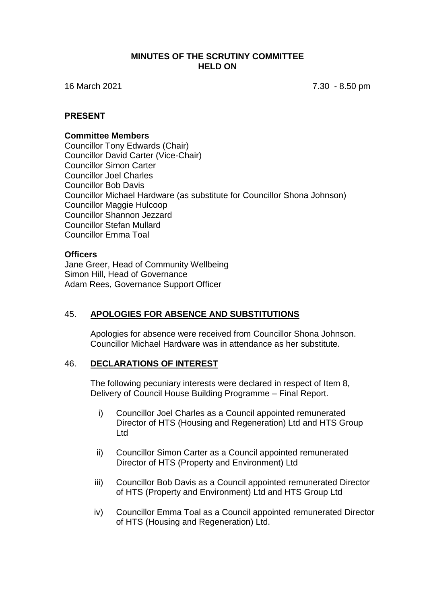#### **MINUTES OF THE SCRUTINY COMMITTEE HELD ON**

16 March 2021 7.30 - 8.50 pm

#### **PRESENT**

#### **Committee Members**

Councillor Tony Edwards (Chair) Councillor David Carter (Vice-Chair) Councillor Simon Carter Councillor Joel Charles Councillor Bob Davis Councillor Michael Hardware (as substitute for Councillor Shona Johnson) Councillor Maggie Hulcoop Councillor Shannon Jezzard Councillor Stefan Mullard Councillor Emma Toal

#### **Officers**

Jane Greer, Head of Community Wellbeing Simon Hill, Head of Governance Adam Rees, Governance Support Officer

## 45. **APOLOGIES FOR ABSENCE AND SUBSTITUTIONS**

Apologies for absence were received from Councillor Shona Johnson. Councillor Michael Hardware was in attendance as her substitute.

## 46. **DECLARATIONS OF INTEREST**

The following pecuniary interests were declared in respect of Item 8, Delivery of Council House Building Programme – Final Report.

- i) Councillor Joel Charles as a Council appointed remunerated Director of HTS (Housing and Regeneration) Ltd and HTS Group Ltd
- ii) Councillor Simon Carter as a Council appointed remunerated Director of HTS (Property and Environment) Ltd
- iii) Councillor Bob Davis as a Council appointed remunerated Director of HTS (Property and Environment) Ltd and HTS Group Ltd
- iv) Councillor Emma Toal as a Council appointed remunerated Director of HTS (Housing and Regeneration) Ltd.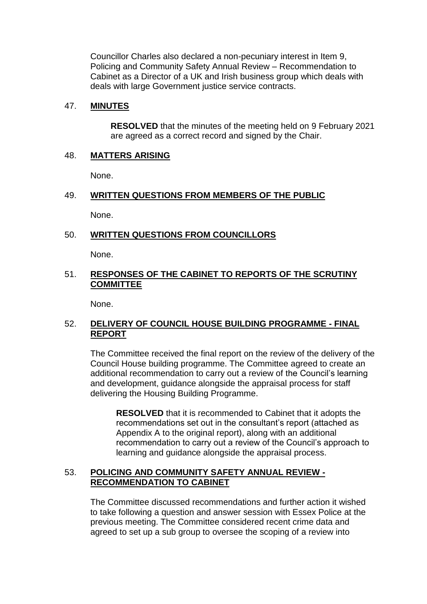Councillor Charles also declared a non-pecuniary interest in Item 9, Policing and Community Safety Annual Review – Recommendation to Cabinet as a Director of a UK and Irish business group which deals with deals with large Government justice service contracts.

## 47. **MINUTES**

**RESOLVED** that the minutes of the meeting held on 9 February 2021 are agreed as a correct record and signed by the Chair.

## 48. **MATTERS ARISING**

None.

## 49. **WRITTEN QUESTIONS FROM MEMBERS OF THE PUBLIC**

None.

#### 50. **WRITTEN QUESTIONS FROM COUNCILLORS**

None.

## 51. **RESPONSES OF THE CABINET TO REPORTS OF THE SCRUTINY COMMITTEE**

None.

# 52. **DELIVERY OF COUNCIL HOUSE BUILDING PROGRAMME - FINAL REPORT**

The Committee received the final report on the review of the delivery of the Council House building programme. The Committee agreed to create an additional recommendation to carry out a review of the Council's learning and development, guidance alongside the appraisal process for staff delivering the Housing Building Programme.

**RESOLVED** that it is recommended to Cabinet that it adopts the recommendations set out in the consultant's report (attached as Appendix A to the original report), along with an additional recommendation to carry out a review of the Council's approach to learning and guidance alongside the appraisal process.

## 53. **POLICING AND COMMUNITY SAFETY ANNUAL REVIEW - RECOMMENDATION TO CABINET**

The Committee discussed recommendations and further action it wished to take following a question and answer session with Essex Police at the previous meeting. The Committee considered recent crime data and agreed to set up a sub group to oversee the scoping of a review into